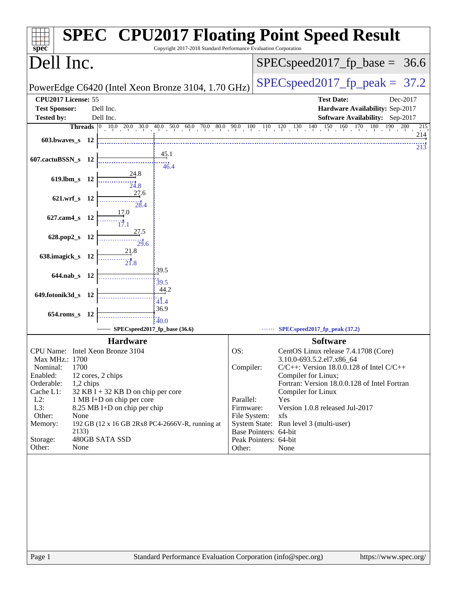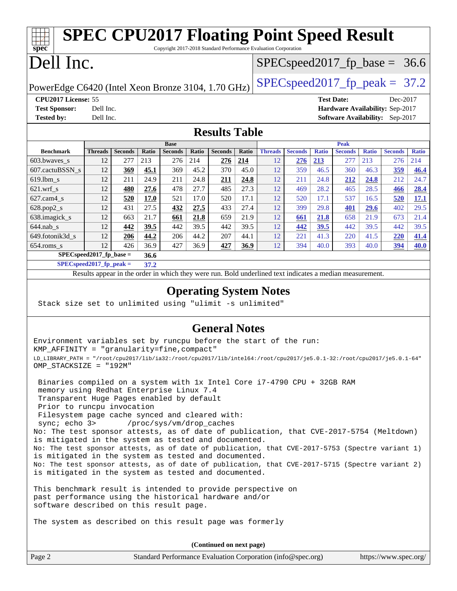| <b>SPEC CPU2017 Floating Point Speed Result</b><br>Copyright 2017-2018 Standard Performance Evaluation Corporation<br>spec <sup>®</sup>                                                                                                                                                                                                                                                                                                                                                                                                                                                                                                                                                                                                   |                                   |                   |              |                |       |                                  |                                                                  |                                  |                |              |                |              |                |              |
|-------------------------------------------------------------------------------------------------------------------------------------------------------------------------------------------------------------------------------------------------------------------------------------------------------------------------------------------------------------------------------------------------------------------------------------------------------------------------------------------------------------------------------------------------------------------------------------------------------------------------------------------------------------------------------------------------------------------------------------------|-----------------------------------|-------------------|--------------|----------------|-------|----------------------------------|------------------------------------------------------------------|----------------------------------|----------------|--------------|----------------|--------------|----------------|--------------|
| Dell Inc.                                                                                                                                                                                                                                                                                                                                                                                                                                                                                                                                                                                                                                                                                                                                 |                                   |                   |              |                |       |                                  |                                                                  | $SPEC speed2017_fp\_base = 36.6$ |                |              |                |              |                |              |
| PowerEdge C6420 (Intel Xeon Bronze 3104, 1.70 GHz)                                                                                                                                                                                                                                                                                                                                                                                                                                                                                                                                                                                                                                                                                        |                                   |                   |              |                |       | $SPEC speed2017_fp\_peak = 37.2$ |                                                                  |                                  |                |              |                |              |                |              |
| <b>Test Sponsor:</b>                                                                                                                                                                                                                                                                                                                                                                                                                                                                                                                                                                                                                                                                                                                      | CPU2017 License: 55<br>Dell Inc.  |                   |              |                |       |                                  | <b>Test Date:</b><br>Dec-2017<br>Hardware Availability: Sep-2017 |                                  |                |              |                |              |                |              |
| <b>Tested by:</b><br>Dell Inc.<br><b>Software Availability:</b> Sep-2017                                                                                                                                                                                                                                                                                                                                                                                                                                                                                                                                                                                                                                                                  |                                   |                   |              |                |       |                                  |                                                                  |                                  |                |              |                |              |                |              |
| <b>Results Table</b>                                                                                                                                                                                                                                                                                                                                                                                                                                                                                                                                                                                                                                                                                                                      |                                   |                   |              |                |       |                                  |                                                                  |                                  |                |              |                |              |                |              |
|                                                                                                                                                                                                                                                                                                                                                                                                                                                                                                                                                                                                                                                                                                                                           |                                   |                   |              | <b>Base</b>    |       |                                  |                                                                  |                                  |                |              | <b>Peak</b>    |              |                |              |
| <b>Benchmark</b>                                                                                                                                                                                                                                                                                                                                                                                                                                                                                                                                                                                                                                                                                                                          |                                   | Threads   Seconds | Ratio        | <b>Seconds</b> | Ratio | <b>Seconds</b>                   | Ratio                                                            | <b>Threads</b>                   | <b>Seconds</b> | <b>Ratio</b> | <b>Seconds</b> | <b>Ratio</b> | <b>Seconds</b> | <b>Ratio</b> |
| 603.bwaves_s                                                                                                                                                                                                                                                                                                                                                                                                                                                                                                                                                                                                                                                                                                                              | 12                                | 277               | 213          | 276            | 214   | 276                              | 214                                                              | 12                               | <u> 276</u>    | 213          | 277            | 213          | 276            | 214          |
| 607.cactuBSSN s                                                                                                                                                                                                                                                                                                                                                                                                                                                                                                                                                                                                                                                                                                                           | 12                                | <u>369</u>        | 45.1         | 369            | 45.2  | 370                              | 45.0                                                             | 12                               | 359            | 46.5         | 360            | 46.3         | 359            | <b>46.4</b>  |
| 619.lbm s                                                                                                                                                                                                                                                                                                                                                                                                                                                                                                                                                                                                                                                                                                                                 | 12                                | 211               | 24.9         | 211            | 24.8  | <u>211</u>                       | 24.8                                                             | 12                               | 211            | 24.8         | 212            | 24.8         | 212            | 24.7         |
| $621.wrf$ <sub>s</sub>                                                                                                                                                                                                                                                                                                                                                                                                                                                                                                                                                                                                                                                                                                                    | 12                                | 480               | 27.6         | 478            | 27.7  | 485                              | 27.3                                                             | 12                               | 469            | 28.2         | 465            | 28.5         | 466            | 28.4         |
| $627.cam4_s$                                                                                                                                                                                                                                                                                                                                                                                                                                                                                                                                                                                                                                                                                                                              | 12                                | 520               | <b>17.0</b>  | 521            | 17.0  | 520                              | 17.1                                                             | 12                               | 520            | 17.1         | 537            | 16.5         | 520            | 17.1         |
| 628.pop2_s                                                                                                                                                                                                                                                                                                                                                                                                                                                                                                                                                                                                                                                                                                                                | 12                                | 431               | 27.5         | 432            | 27.5  | 433                              | 27.4                                                             | 12                               | 399            | 29.8         | 401            | 29.6         | 402            | 29.5         |
| 638.imagick_s                                                                                                                                                                                                                                                                                                                                                                                                                                                                                                                                                                                                                                                                                                                             | 12                                | 663               | 21.7         | 661            | 21.8  | 659                              | 21.9                                                             | 12                               | 661            | 21.8         | 658            | 21.9         | 673            | 21.4         |
| $644.nab_s$                                                                                                                                                                                                                                                                                                                                                                                                                                                                                                                                                                                                                                                                                                                               | 12                                | 442               | 39.5         | 442            | 39.5  | 442                              | 39.5                                                             | 12                               | 442            | <u>39.5</u>  | 442            | 39.5         | 442            | 39.5         |
| 649.fotonik3d_s                                                                                                                                                                                                                                                                                                                                                                                                                                                                                                                                                                                                                                                                                                                           | 12                                | 206               | 44.2         | 206            | 44.2  | 207                              | 44.1                                                             | 12                               | 221            | 41.3         | 220            | 41.5         | 220            | 41.4         |
| $654$ .roms_s                                                                                                                                                                                                                                                                                                                                                                                                                                                                                                                                                                                                                                                                                                                             | 12<br>$SPEC speed2017_fp\_base =$ | 426               | 36.9<br>36.6 | 427            | 36.9  | 427                              | 36.9                                                             | 12                               | 394            | 40.0         | 393            | 40.0         | 394            | 40.0         |
| $SPEC speed2017_fp_peak =$                                                                                                                                                                                                                                                                                                                                                                                                                                                                                                                                                                                                                                                                                                                |                                   |                   | 37.2         |                |       |                                  |                                                                  |                                  |                |              |                |              |                |              |
|                                                                                                                                                                                                                                                                                                                                                                                                                                                                                                                                                                                                                                                                                                                                           |                                   |                   |              |                |       |                                  |                                                                  |                                  |                |              |                |              |                |              |
| Results appear in the order in which they were run. Bold underlined text indicates a median measurement.<br><b>Operating System Notes</b><br>Stack size set to unlimited using "ulimit -s unlimited"                                                                                                                                                                                                                                                                                                                                                                                                                                                                                                                                      |                                   |                   |              |                |       |                                  |                                                                  |                                  |                |              |                |              |                |              |
|                                                                                                                                                                                                                                                                                                                                                                                                                                                                                                                                                                                                                                                                                                                                           |                                   |                   |              |                |       | <b>General Notes</b>             |                                                                  |                                  |                |              |                |              |                |              |
| Environment variables set by runcpu before the start of the run:<br>KMP_AFFINITY = "granularity=fine, compact"<br>LD_LIBRARY_PATH = "/root/cpu2017/lib/ia32:/root/cpu2017/lib/intel64:/root/cpu2017/je5.0.1-32:/root/cpu2017/je5.0.1-64"<br>OMP STACKSIZE = "192M"                                                                                                                                                                                                                                                                                                                                                                                                                                                                        |                                   |                   |              |                |       |                                  |                                                                  |                                  |                |              |                |              |                |              |
| Binaries compiled on a system with 1x Intel Core i7-4790 CPU + 32GB RAM<br>memory using Redhat Enterprise Linux 7.4<br>Transparent Huge Pages enabled by default<br>Prior to runcpu invocation<br>Filesystem page cache synced and cleared with:<br>sync; echo 3><br>No: The test sponsor attests, as of date of publication, that CVE-2017-5754 (Meltdown)<br>is mitigated in the system as tested and documented.<br>No: The test sponsor attests, as of date of publication, that CVE-2017-5753 (Spectre variant 1)<br>is mitigated in the system as tested and documented.<br>No: The test sponsor attests, as of date of publication, that CVE-2017-5715 (Spectre variant 2)<br>is mitigated in the system as tested and documented. |                                   |                   |              |                |       | /proc/sys/vm/drop_caches         |                                                                  |                                  |                |              |                |              |                |              |

past performance using the historical hardware and/or software described on this result page.

The system as described on this result page was formerly

Page 2 Standard Performance Evaluation Corporation [\(info@spec.org\)](mailto:info@spec.org) <https://www.spec.org/> **(Continued on next page)**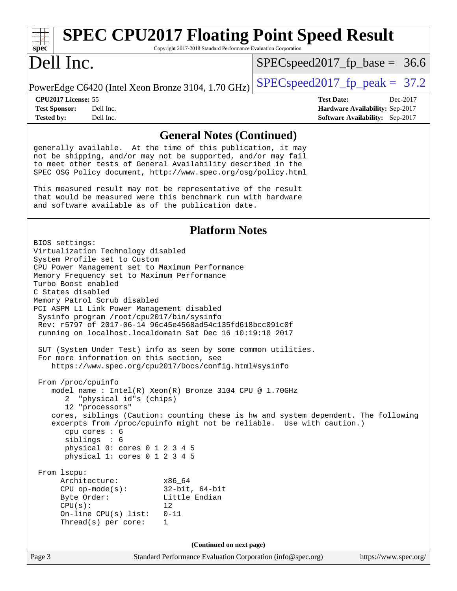#### **[spec](http://www.spec.org/) [SPEC CPU2017 Floating Point Speed Result](http://www.spec.org/auto/cpu2017/Docs/result-fields.html#SPECCPU2017FloatingPointSpeedResult)** Copyright 2017-2018 Standard Performance Evaluation Corporation Dell Inc. PowerEdge C6420 (Intel Xeon Bronze 3104, 1.70 GHz)  $\left|$  [SPECspeed2017\\_fp\\_peak =](http://www.spec.org/auto/cpu2017/Docs/result-fields.html#SPECspeed2017fppeak) 37.2  $SPECspeed2017_fp\_base = 36.6$ **[CPU2017 License:](http://www.spec.org/auto/cpu2017/Docs/result-fields.html#CPU2017License)** 55 **[Test Date:](http://www.spec.org/auto/cpu2017/Docs/result-fields.html#TestDate)** Dec-2017 **[Test Sponsor:](http://www.spec.org/auto/cpu2017/Docs/result-fields.html#TestSponsor)** Dell Inc. **[Hardware Availability:](http://www.spec.org/auto/cpu2017/Docs/result-fields.html#HardwareAvailability)** Sep-2017 **[Tested by:](http://www.spec.org/auto/cpu2017/Docs/result-fields.html#Testedby)** Dell Inc. **[Software Availability:](http://www.spec.org/auto/cpu2017/Docs/result-fields.html#SoftwareAvailability)** Sep-2017 **[General Notes \(Continued\)](http://www.spec.org/auto/cpu2017/Docs/result-fields.html#GeneralNotes)** generally available. At the time of this publication, it may not be shipping, and/or may not be supported, and/or may fail to meet other tests of General Availability described in the SPEC OSG Policy document, <http://www.spec.org/osg/policy.html> This measured result may not be representative of the result that would be measured were this benchmark run with hardware and software available as of the publication date. **[Platform Notes](http://www.spec.org/auto/cpu2017/Docs/result-fields.html#PlatformNotes)** BIOS settings: Virtualization Technology disabled System Profile set to Custom CPU Power Management set to Maximum Performance Memory Frequency set to Maximum Performance Turbo Boost enabled C States disabled Memory Patrol Scrub disabled PCI ASPM L1 Link Power Management disabled Sysinfo program /root/cpu2017/bin/sysinfo Rev: r5797 of 2017-06-14 96c45e4568ad54c135fd618bcc091c0f running on localhost.localdomain Sat Dec 16 10:19:10 2017 SUT (System Under Test) info as seen by some common utilities.

 <https://www.spec.org/cpu2017/Docs/config.html#sysinfo> From /proc/cpuinfo model name : Intel(R) Xeon(R) Bronze 3104 CPU @ 1.70GHz 2 "physical id"s (chips) 12 "processors" cores, siblings (Caution: counting these is hw and system dependent. The following excerpts from /proc/cpuinfo might not be reliable. Use with caution.) cpu cores : 6 siblings : 6 physical 0: cores 0 1 2 3 4 5 physical 1: cores 0 1 2 3 4 5 From lscpu: Architecture: x86\_64 CPU op-mode(s): 32-bit, 64-bit Byte Order: Little Endian

For more information on this section, see

 $CPU(s):$  12 On-line CPU(s) list: 0-11 Thread(s) per core: 1

**(Continued on next page)**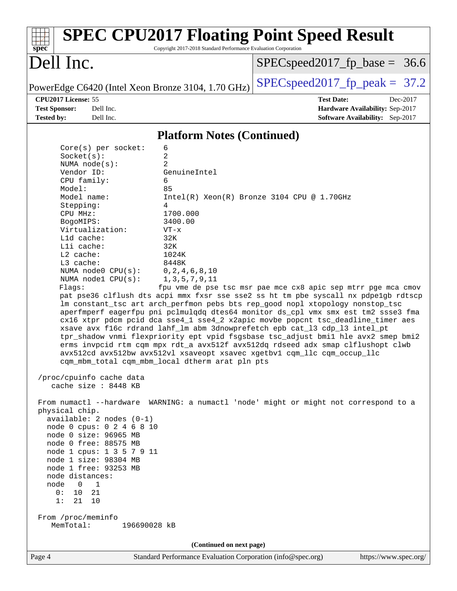| <b>SPEC CPU2017 Floating Point Speed Result</b><br>Copyright 2017-2018 Standard Performance Evaluation Corporation<br>$spec^*$                                                                                                                                                                                                                                                                                                                                                                                                                                                                                                                                                                                                               |                                                               |
|----------------------------------------------------------------------------------------------------------------------------------------------------------------------------------------------------------------------------------------------------------------------------------------------------------------------------------------------------------------------------------------------------------------------------------------------------------------------------------------------------------------------------------------------------------------------------------------------------------------------------------------------------------------------------------------------------------------------------------------------|---------------------------------------------------------------|
| Dell Inc.                                                                                                                                                                                                                                                                                                                                                                                                                                                                                                                                                                                                                                                                                                                                    | $SPEC speed2017_f p\_base = 36.6$                             |
| PowerEdge C6420 (Intel Xeon Bronze 3104, 1.70 GHz)                                                                                                                                                                                                                                                                                                                                                                                                                                                                                                                                                                                                                                                                                           | $SPEC speed2017_fp\_peak = 37.2$                              |
| CPU2017 License: 55                                                                                                                                                                                                                                                                                                                                                                                                                                                                                                                                                                                                                                                                                                                          | <b>Test Date:</b><br>Dec-2017                                 |
| <b>Test Sponsor:</b><br>Dell Inc.                                                                                                                                                                                                                                                                                                                                                                                                                                                                                                                                                                                                                                                                                                            | Hardware Availability: Sep-2017                               |
| <b>Tested by:</b><br>Dell Inc.                                                                                                                                                                                                                                                                                                                                                                                                                                                                                                                                                                                                                                                                                                               | Software Availability: Sep-2017                               |
| <b>Platform Notes (Continued)</b>                                                                                                                                                                                                                                                                                                                                                                                                                                                                                                                                                                                                                                                                                                            |                                                               |
| 6<br>$Core(s)$ per socket:                                                                                                                                                                                                                                                                                                                                                                                                                                                                                                                                                                                                                                                                                                                   |                                                               |
| 2<br>Socket(s):                                                                                                                                                                                                                                                                                                                                                                                                                                                                                                                                                                                                                                                                                                                              |                                                               |
| $\overline{2}$<br>NUMA $node(s):$<br>Vendor ID:<br>GenuineIntel                                                                                                                                                                                                                                                                                                                                                                                                                                                                                                                                                                                                                                                                              |                                                               |
| CPU family:<br>6                                                                                                                                                                                                                                                                                                                                                                                                                                                                                                                                                                                                                                                                                                                             |                                                               |
| Model:<br>85                                                                                                                                                                                                                                                                                                                                                                                                                                                                                                                                                                                                                                                                                                                                 |                                                               |
| Model name:                                                                                                                                                                                                                                                                                                                                                                                                                                                                                                                                                                                                                                                                                                                                  | $Intel(R) Xeon(R) Bronze 3104 CPU @ 1.70GHz$                  |
| Stepping:<br>4<br>1700.000                                                                                                                                                                                                                                                                                                                                                                                                                                                                                                                                                                                                                                                                                                                   |                                                               |
| CPU MHz:<br>BogoMIPS:<br>3400.00                                                                                                                                                                                                                                                                                                                                                                                                                                                                                                                                                                                                                                                                                                             |                                                               |
| Virtualization:<br>$VT - x$                                                                                                                                                                                                                                                                                                                                                                                                                                                                                                                                                                                                                                                                                                                  |                                                               |
| 32K<br>L1d cache:                                                                                                                                                                                                                                                                                                                                                                                                                                                                                                                                                                                                                                                                                                                            |                                                               |
| Lli cache:<br>32K                                                                                                                                                                                                                                                                                                                                                                                                                                                                                                                                                                                                                                                                                                                            |                                                               |
| L2 cache:<br>1024K<br>L3 cache:<br>8448K                                                                                                                                                                                                                                                                                                                                                                                                                                                                                                                                                                                                                                                                                                     |                                                               |
| NUMA node0 CPU(s):<br>0, 2, 4, 6, 8, 10                                                                                                                                                                                                                                                                                                                                                                                                                                                                                                                                                                                                                                                                                                      |                                                               |
| NUMA nodel CPU(s):<br>1, 3, 5, 7, 9, 11                                                                                                                                                                                                                                                                                                                                                                                                                                                                                                                                                                                                                                                                                                      |                                                               |
| Flagg:<br>pat pse36 clflush dts acpi mmx fxsr sse sse2 ss ht tm pbe syscall nx pdpelgb rdtscp<br>lm constant_tsc art arch_perfmon pebs bts rep_good nopl xtopology nonstop_tsc<br>aperfmperf eagerfpu pni pclmulqdq dtes64 monitor ds_cpl vmx smx est tm2 ssse3 fma<br>cx16 xtpr pdcm pcid dca sse4_1 sse4_2 x2apic movbe popcnt tsc_deadline_timer aes<br>xsave avx f16c rdrand lahf_lm abm 3dnowprefetch epb cat_13 cdp_13 intel_pt<br>tpr_shadow vnmi flexpriority ept vpid fsgsbase tsc_adjust bmil hle avx2 smep bmi2<br>erms invpcid rtm cqm mpx rdt_a avx512f avx512dq rdseed adx smap clflushopt clwb<br>avx512cd avx512bw avx512vl xsaveopt xsavec xgetbvl cqm_llc cqm_occup_llc<br>cqm_mbm_total cqm_mbm_local dtherm arat pln pts | fpu vme de pse tsc msr pae mce cx8 apic sep mtrr pge mca cmov |
| /proc/cpuinfo cache data<br>cache size : 8448 KB                                                                                                                                                                                                                                                                                                                                                                                                                                                                                                                                                                                                                                                                                             |                                                               |
| From numactl --hardware WARNING: a numactl 'node' might or might not correspond to a<br>physical chip.<br>$available: 2 nodes (0-1)$<br>node 0 cpus: 0 2 4 6 8 10<br>node 0 size: 96965 MB<br>node 0 free: 88575 MB<br>node 1 cpus: 1 3 5 7 9 11<br>node 1 size: 98304 MB<br>node 1 free: 93253 MB<br>node distances:<br>$\overline{0}$<br>$\overline{1}$<br>node<br>10<br>0:<br>21<br>1:<br>21<br>10<br>From /proc/meminfo<br>MemTotal:<br>196690028 kB                                                                                                                                                                                                                                                                                     |                                                               |
| (Continued on next page)                                                                                                                                                                                                                                                                                                                                                                                                                                                                                                                                                                                                                                                                                                                     |                                                               |
| Page 4<br>Standard Performance Evaluation Corporation (info@spec.org)                                                                                                                                                                                                                                                                                                                                                                                                                                                                                                                                                                                                                                                                        | https://www.spec.org/                                         |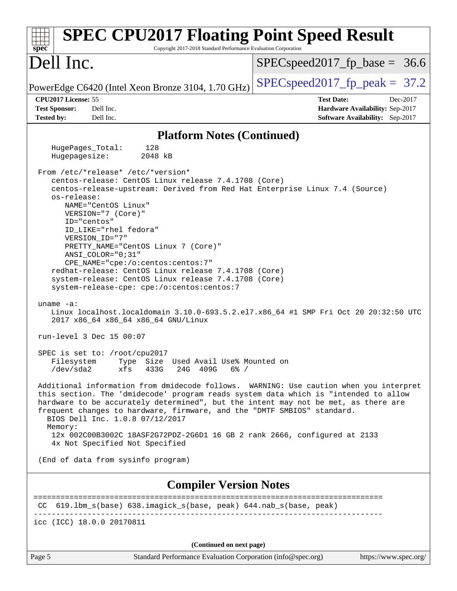| <b>SPEC CPU2017 Floating Point Speed Result</b><br>Copyright 2017-2018 Standard Performance Evaluation Corporation<br>$spec^*$                                                                                                                                                                                                                                                               |                                                                    |
|----------------------------------------------------------------------------------------------------------------------------------------------------------------------------------------------------------------------------------------------------------------------------------------------------------------------------------------------------------------------------------------------|--------------------------------------------------------------------|
| Dell Inc.                                                                                                                                                                                                                                                                                                                                                                                    | $SPEC speed2017_fp\_base = 36.6$                                   |
| PowerEdge C6420 (Intel Xeon Bronze 3104, 1.70 GHz)                                                                                                                                                                                                                                                                                                                                           | $SPEC speed2017fr peak = 37.2$                                     |
| CPU2017 License: 55                                                                                                                                                                                                                                                                                                                                                                          | <b>Test Date:</b><br>Dec-2017                                      |
| <b>Test Sponsor:</b><br>Dell Inc.<br><b>Tested by:</b><br>Dell Inc.                                                                                                                                                                                                                                                                                                                          | Hardware Availability: Sep-2017<br>Software Availability: Sep-2017 |
|                                                                                                                                                                                                                                                                                                                                                                                              |                                                                    |
| <b>Platform Notes (Continued)</b>                                                                                                                                                                                                                                                                                                                                                            |                                                                    |
| 128<br>HugePages_Total:<br>Hugepagesize:<br>2048 kB                                                                                                                                                                                                                                                                                                                                          |                                                                    |
| From /etc/*release* /etc/*version*                                                                                                                                                                                                                                                                                                                                                           |                                                                    |
| centos-release: CentOS Linux release 7.4.1708 (Core)                                                                                                                                                                                                                                                                                                                                         |                                                                    |
| centos-release-upstream: Derived from Red Hat Enterprise Linux 7.4 (Source)<br>os-release:                                                                                                                                                                                                                                                                                                   |                                                                    |
| NAME="CentOS Linux"                                                                                                                                                                                                                                                                                                                                                                          |                                                                    |
| VERSION="7 (Core)"                                                                                                                                                                                                                                                                                                                                                                           |                                                                    |
| ID="centos"<br>ID LIKE="rhel fedora"                                                                                                                                                                                                                                                                                                                                                         |                                                                    |
| VERSION_ID="7"                                                                                                                                                                                                                                                                                                                                                                               |                                                                    |
| PRETTY_NAME="CentOS Linux 7 (Core)"                                                                                                                                                                                                                                                                                                                                                          |                                                                    |
| ANSI_COLOR="0;31"                                                                                                                                                                                                                                                                                                                                                                            |                                                                    |
| CPE_NAME="cpe:/o:centos:centos:7"<br>redhat-release: CentOS Linux release 7.4.1708 (Core)                                                                                                                                                                                                                                                                                                    |                                                                    |
| system-release: CentOS Linux release 7.4.1708 (Core)                                                                                                                                                                                                                                                                                                                                         |                                                                    |
| system-release-cpe: cpe:/o:centos:centos:7                                                                                                                                                                                                                                                                                                                                                   |                                                                    |
| uname $-a$ :<br>Linux localhost.localdomain 3.10.0-693.5.2.el7.x86_64 #1 SMP Fri Oct 20 20:32:50 UTC<br>2017 x86_64 x86_64 x86_64 GNU/Linux                                                                                                                                                                                                                                                  |                                                                    |
| run-level 3 Dec 15 00:07                                                                                                                                                                                                                                                                                                                                                                     |                                                                    |
| SPEC is set to: /root/cpu2017                                                                                                                                                                                                                                                                                                                                                                |                                                                    |
| Size Used Avail Use% Mounted on<br>Type<br>Filesystem<br>$/\text{dev/sda2}$<br>xfs<br>433G<br>24G<br>409G<br>$6\%$ /                                                                                                                                                                                                                                                                         |                                                                    |
| Additional information from dmidecode follows. WARNING: Use caution when you interpret<br>this section. The 'dmidecode' program reads system data which is "intended to allow<br>hardware to be accurately determined", but the intent may not be met, as there are<br>frequent changes to hardware, firmware, and the "DMTF SMBIOS" standard.<br>BIOS Dell Inc. 1.0.8 07/12/2017<br>Memory: |                                                                    |
| 12x 002C00B3002C 18ASF2G72PDZ-2G6D1 16 GB 2 rank 2666, configured at 2133<br>4x Not Specified Not Specified                                                                                                                                                                                                                                                                                  |                                                                    |
| (End of data from sysinfo program)                                                                                                                                                                                                                                                                                                                                                           |                                                                    |
| <b>Compiler Version Notes</b>                                                                                                                                                                                                                                                                                                                                                                |                                                                    |
| CC 619.1bm_s(base) 638.imagick_s(base, peak) 644.nab_s(base, peak)                                                                                                                                                                                                                                                                                                                           | ======================                                             |
| icc (ICC) 18.0.0 20170811                                                                                                                                                                                                                                                                                                                                                                    |                                                                    |
| (Continued on next page)                                                                                                                                                                                                                                                                                                                                                                     |                                                                    |
| Page 5<br>Standard Performance Evaluation Corporation (info@spec.org)                                                                                                                                                                                                                                                                                                                        | https://www.spec.org/                                              |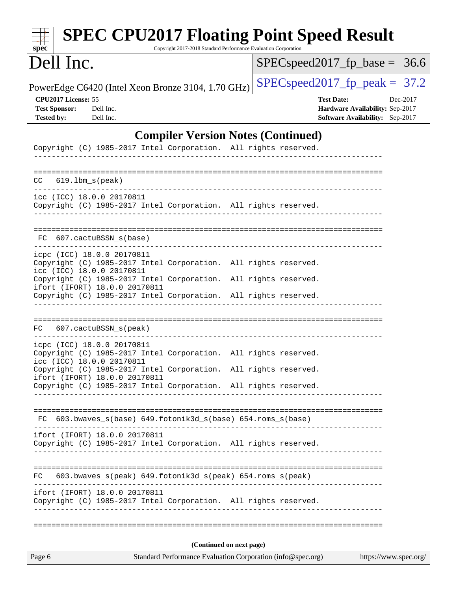| <b>SPEC CPU2017 Floating Point Speed Result</b><br>Copyright 2017-2018 Standard Performance Evaluation Corporation<br>spec <sup>®</sup>                             |                                                                                                            |  |  |  |  |  |  |
|---------------------------------------------------------------------------------------------------------------------------------------------------------------------|------------------------------------------------------------------------------------------------------------|--|--|--|--|--|--|
| Dell Inc.                                                                                                                                                           | $SPEC speed2017\_fp\_base =$<br>36.6                                                                       |  |  |  |  |  |  |
| PowerEdge C6420 (Intel Xeon Bronze 3104, 1.70 GHz)                                                                                                                  | $SPEC speed2017fp peak = 37.2$                                                                             |  |  |  |  |  |  |
| CPU2017 License: 55<br><b>Test Sponsor:</b><br>Dell Inc.<br><b>Tested by:</b><br>Dell Inc.                                                                          | <b>Test Date:</b><br>Dec-2017<br>Hardware Availability: Sep-2017<br><b>Software Availability:</b> Sep-2017 |  |  |  |  |  |  |
| <b>Compiler Version Notes (Continued)</b>                                                                                                                           |                                                                                                            |  |  |  |  |  |  |
| Copyright (C) 1985-2017 Intel Corporation. All rights reserved.                                                                                                     |                                                                                                            |  |  |  |  |  |  |
| $CC$ $619.1bm_s(peak)$                                                                                                                                              |                                                                                                            |  |  |  |  |  |  |
| icc (ICC) 18.0.0 20170811<br>Copyright (C) 1985-2017 Intel Corporation. All rights reserved.<br>________________________________                                    |                                                                                                            |  |  |  |  |  |  |
| FC 607.cactuBSSN_s(base)<br>____________________________                                                                                                            |                                                                                                            |  |  |  |  |  |  |
| icpc (ICC) 18.0.0 20170811<br>Copyright (C) 1985-2017 Intel Corporation. All rights reserved.<br>icc (ICC) 18.0.0 20170811                                          |                                                                                                            |  |  |  |  |  |  |
| Copyright (C) 1985-2017 Intel Corporation. All rights reserved.<br>ifort (IFORT) 18.0.0 20170811<br>Copyright (C) 1985-2017 Intel Corporation. All rights reserved. |                                                                                                            |  |  |  |  |  |  |
| 607.cactuBSSN_s(peak)<br>FC                                                                                                                                         |                                                                                                            |  |  |  |  |  |  |
| icpc (ICC) 18.0.0 20170811<br>Copyright (C) 1985-2017 Intel Corporation. All rights reserved.<br>icc (ICC) 18.0.0 20170811                                          |                                                                                                            |  |  |  |  |  |  |
| Copyright (C) 1985-2017 Intel Corporation. All rights reserved.<br>ifort (IFORT) 18.0.0 20170811<br>Copyright (C) 1985-2017 Intel Corporation. All rights reserved. |                                                                                                            |  |  |  |  |  |  |
|                                                                                                                                                                     |                                                                                                            |  |  |  |  |  |  |
| FC 603.bwaves_s(base) 649.fotonik3d_s(base) 654.roms_s(base)                                                                                                        |                                                                                                            |  |  |  |  |  |  |
| ifort (IFORT) 18.0.0 20170811<br>Copyright (C) 1985-2017 Intel Corporation. All rights reserved.                                                                    |                                                                                                            |  |  |  |  |  |  |
| 603.bwaves_s(peak) 649.fotonik3d_s(peak) 654.roms_s(peak)<br>FC.                                                                                                    |                                                                                                            |  |  |  |  |  |  |
| ifort (IFORT) 18.0.0 20170811<br>Copyright (C) 1985-2017 Intel Corporation. All rights reserved.                                                                    |                                                                                                            |  |  |  |  |  |  |
|                                                                                                                                                                     |                                                                                                            |  |  |  |  |  |  |
| (Continued on next page)<br>https://www.spec.org/<br>Page 6<br>Standard Performance Evaluation Corporation (info@spec.org)                                          |                                                                                                            |  |  |  |  |  |  |
|                                                                                                                                                                     |                                                                                                            |  |  |  |  |  |  |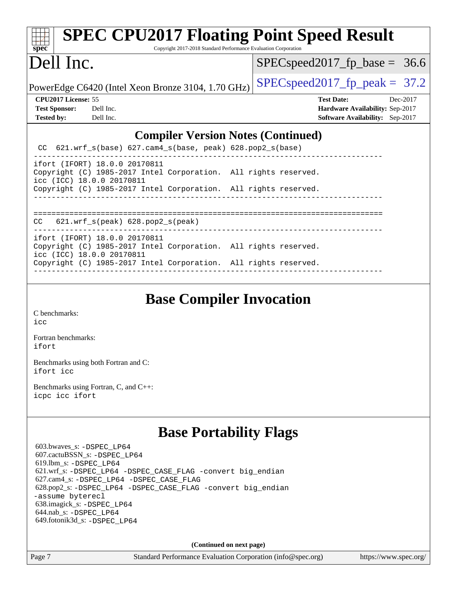| <b>SPEC CPU2017 Floating Point Speed Result</b><br>$spec^*$<br>Copyright 2017-2018 Standard Performance Evaluation Corporation |                                                                                                            |  |  |  |  |  |  |
|--------------------------------------------------------------------------------------------------------------------------------|------------------------------------------------------------------------------------------------------------|--|--|--|--|--|--|
| Dell Inc.                                                                                                                      | $SPEC speed2017_f p\_base = 36.6$                                                                          |  |  |  |  |  |  |
| PowerEdge C6420 (Intel Xeon Bronze 3104, 1.70 GHz)                                                                             | $SPEC speed2017_fp\_peak = 37.2$                                                                           |  |  |  |  |  |  |
| CPU2017 License: 55<br><b>Test Sponsor:</b><br>Dell Inc.<br><b>Tested by:</b><br>Dell Inc.                                     | <b>Test Date:</b><br>Dec-2017<br>Hardware Availability: Sep-2017<br><b>Software Availability:</b> Sep-2017 |  |  |  |  |  |  |
| <b>Compiler Version Notes (Continued)</b>                                                                                      |                                                                                                            |  |  |  |  |  |  |
| 621.wrf_s(base) 627.cam4_s(base, peak) 628.pop2_s(base)<br>CC.                                                                 |                                                                                                            |  |  |  |  |  |  |
| ifort (IFORT) 18.0.0 20170811<br>Copyright (C) 1985-2017 Intel Corporation. All rights reserved.<br>icc (ICC) 18.0.0 20170811  |                                                                                                            |  |  |  |  |  |  |
| Copyright (C) 1985-2017 Intel Corporation. All rights reserved.                                                                |                                                                                                            |  |  |  |  |  |  |
| $621.wrf_s(peak)$ $628.pop2_s(peak)$<br>CC                                                                                     |                                                                                                            |  |  |  |  |  |  |
| ifort (IFORT) 18.0.0 20170811<br>Copyright (C) 1985-2017 Intel Corporation. All rights reserved.<br>icc (ICC) 18.0.0 20170811  |                                                                                                            |  |  |  |  |  |  |
| Copyright (C) 1985-2017 Intel Corporation. All rights reserved.                                                                |                                                                                                            |  |  |  |  |  |  |
| ⌒<br>. .                                                                                                                       |                                                                                                            |  |  |  |  |  |  |

**[Base Compiler Invocation](http://www.spec.org/auto/cpu2017/Docs/result-fields.html#BaseCompilerInvocation)**

[C benchmarks](http://www.spec.org/auto/cpu2017/Docs/result-fields.html#Cbenchmarks):

[icc](http://www.spec.org/cpu2017/results/res2018q1/cpu2017-20180122-02790.flags.html#user_CCbase_intel_icc_18.0_66fc1ee009f7361af1fbd72ca7dcefbb700085f36577c54f309893dd4ec40d12360134090235512931783d35fd58c0460139e722d5067c5574d8eaf2b3e37e92)

[Fortran benchmarks](http://www.spec.org/auto/cpu2017/Docs/result-fields.html#Fortranbenchmarks): [ifort](http://www.spec.org/cpu2017/results/res2018q1/cpu2017-20180122-02790.flags.html#user_FCbase_intel_ifort_18.0_8111460550e3ca792625aed983ce982f94888b8b503583aa7ba2b8303487b4d8a21a13e7191a45c5fd58ff318f48f9492884d4413fa793fd88dd292cad7027ca)

[Benchmarks using both Fortran and C](http://www.spec.org/auto/cpu2017/Docs/result-fields.html#BenchmarksusingbothFortranandC): [ifort](http://www.spec.org/cpu2017/results/res2018q1/cpu2017-20180122-02790.flags.html#user_CC_FCbase_intel_ifort_18.0_8111460550e3ca792625aed983ce982f94888b8b503583aa7ba2b8303487b4d8a21a13e7191a45c5fd58ff318f48f9492884d4413fa793fd88dd292cad7027ca) [icc](http://www.spec.org/cpu2017/results/res2018q1/cpu2017-20180122-02790.flags.html#user_CC_FCbase_intel_icc_18.0_66fc1ee009f7361af1fbd72ca7dcefbb700085f36577c54f309893dd4ec40d12360134090235512931783d35fd58c0460139e722d5067c5574d8eaf2b3e37e92)

[Benchmarks using Fortran, C, and C++:](http://www.spec.org/auto/cpu2017/Docs/result-fields.html#BenchmarksusingFortranCandCXX) [icpc](http://www.spec.org/cpu2017/results/res2018q1/cpu2017-20180122-02790.flags.html#user_CC_CXX_FCbase_intel_icpc_18.0_c510b6838c7f56d33e37e94d029a35b4a7bccf4766a728ee175e80a419847e808290a9b78be685c44ab727ea267ec2f070ec5dc83b407c0218cded6866a35d07) [icc](http://www.spec.org/cpu2017/results/res2018q1/cpu2017-20180122-02790.flags.html#user_CC_CXX_FCbase_intel_icc_18.0_66fc1ee009f7361af1fbd72ca7dcefbb700085f36577c54f309893dd4ec40d12360134090235512931783d35fd58c0460139e722d5067c5574d8eaf2b3e37e92) [ifort](http://www.spec.org/cpu2017/results/res2018q1/cpu2017-20180122-02790.flags.html#user_CC_CXX_FCbase_intel_ifort_18.0_8111460550e3ca792625aed983ce982f94888b8b503583aa7ba2b8303487b4d8a21a13e7191a45c5fd58ff318f48f9492884d4413fa793fd88dd292cad7027ca)

## **[Base Portability Flags](http://www.spec.org/auto/cpu2017/Docs/result-fields.html#BasePortabilityFlags)**

 603.bwaves\_s: [-DSPEC\\_LP64](http://www.spec.org/cpu2017/results/res2018q1/cpu2017-20180122-02790.flags.html#suite_basePORTABILITY603_bwaves_s_DSPEC_LP64) 607.cactuBSSN\_s: [-DSPEC\\_LP64](http://www.spec.org/cpu2017/results/res2018q1/cpu2017-20180122-02790.flags.html#suite_basePORTABILITY607_cactuBSSN_s_DSPEC_LP64) 619.lbm\_s: [-DSPEC\\_LP64](http://www.spec.org/cpu2017/results/res2018q1/cpu2017-20180122-02790.flags.html#suite_basePORTABILITY619_lbm_s_DSPEC_LP64) 621.wrf\_s: [-DSPEC\\_LP64](http://www.spec.org/cpu2017/results/res2018q1/cpu2017-20180122-02790.flags.html#suite_basePORTABILITY621_wrf_s_DSPEC_LP64) [-DSPEC\\_CASE\\_FLAG](http://www.spec.org/cpu2017/results/res2018q1/cpu2017-20180122-02790.flags.html#b621.wrf_s_baseCPORTABILITY_DSPEC_CASE_FLAG) [-convert big\\_endian](http://www.spec.org/cpu2017/results/res2018q1/cpu2017-20180122-02790.flags.html#user_baseFPORTABILITY621_wrf_s_convert_big_endian_c3194028bc08c63ac5d04de18c48ce6d347e4e562e8892b8bdbdc0214820426deb8554edfa529a3fb25a586e65a3d812c835984020483e7e73212c4d31a38223) 627.cam4\_s: [-DSPEC\\_LP64](http://www.spec.org/cpu2017/results/res2018q1/cpu2017-20180122-02790.flags.html#suite_basePORTABILITY627_cam4_s_DSPEC_LP64) [-DSPEC\\_CASE\\_FLAG](http://www.spec.org/cpu2017/results/res2018q1/cpu2017-20180122-02790.flags.html#b627.cam4_s_baseCPORTABILITY_DSPEC_CASE_FLAG) 628.pop2\_s: [-DSPEC\\_LP64](http://www.spec.org/cpu2017/results/res2018q1/cpu2017-20180122-02790.flags.html#suite_basePORTABILITY628_pop2_s_DSPEC_LP64) [-DSPEC\\_CASE\\_FLAG](http://www.spec.org/cpu2017/results/res2018q1/cpu2017-20180122-02790.flags.html#b628.pop2_s_baseCPORTABILITY_DSPEC_CASE_FLAG) [-convert big\\_endian](http://www.spec.org/cpu2017/results/res2018q1/cpu2017-20180122-02790.flags.html#user_baseFPORTABILITY628_pop2_s_convert_big_endian_c3194028bc08c63ac5d04de18c48ce6d347e4e562e8892b8bdbdc0214820426deb8554edfa529a3fb25a586e65a3d812c835984020483e7e73212c4d31a38223) [-assume byterecl](http://www.spec.org/cpu2017/results/res2018q1/cpu2017-20180122-02790.flags.html#user_baseFPORTABILITY628_pop2_s_assume_byterecl_7e47d18b9513cf18525430bbf0f2177aa9bf368bc7a059c09b2c06a34b53bd3447c950d3f8d6c70e3faf3a05c8557d66a5798b567902e8849adc142926523472) 638.imagick\_s: [-DSPEC\\_LP64](http://www.spec.org/cpu2017/results/res2018q1/cpu2017-20180122-02790.flags.html#suite_basePORTABILITY638_imagick_s_DSPEC_LP64) 644.nab\_s: [-DSPEC\\_LP64](http://www.spec.org/cpu2017/results/res2018q1/cpu2017-20180122-02790.flags.html#suite_basePORTABILITY644_nab_s_DSPEC_LP64) 649.fotonik3d\_s: [-DSPEC\\_LP64](http://www.spec.org/cpu2017/results/res2018q1/cpu2017-20180122-02790.flags.html#suite_basePORTABILITY649_fotonik3d_s_DSPEC_LP64)

**(Continued on next page)**

Page 7 Standard Performance Evaluation Corporation [\(info@spec.org\)](mailto:info@spec.org) <https://www.spec.org/>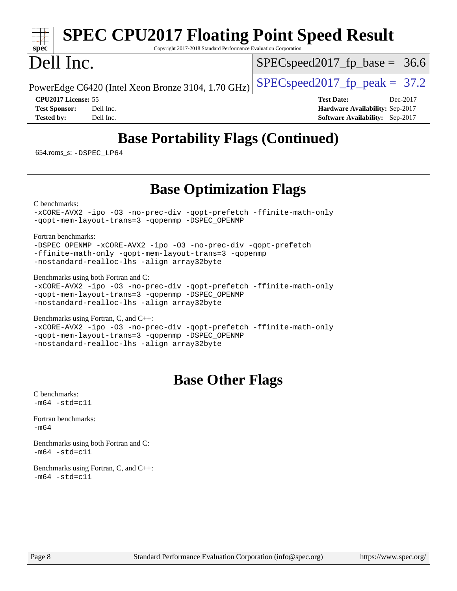#### **[spec](http://www.spec.org/) [SPEC CPU2017 Floating Point Speed Result](http://www.spec.org/auto/cpu2017/Docs/result-fields.html#SPECCPU2017FloatingPointSpeedResult)** Copyright 2017-2018 Standard Performance Evaluation Corporation Dell Inc. PowerEdge C6420 (Intel Xeon Bronze 3104, 1.70 GHz)  $\left|$  [SPECspeed2017\\_fp\\_peak =](http://www.spec.org/auto/cpu2017/Docs/result-fields.html#SPECspeed2017fppeak) 37.2  $SPECspeed2017_fp\_base = 36.6$ **[CPU2017 License:](http://www.spec.org/auto/cpu2017/Docs/result-fields.html#CPU2017License)** 55 **[Test Date:](http://www.spec.org/auto/cpu2017/Docs/result-fields.html#TestDate)** Dec-2017 **[Test Sponsor:](http://www.spec.org/auto/cpu2017/Docs/result-fields.html#TestSponsor)** Dell Inc. **[Hardware Availability:](http://www.spec.org/auto/cpu2017/Docs/result-fields.html#HardwareAvailability)** Sep-2017 **[Tested by:](http://www.spec.org/auto/cpu2017/Docs/result-fields.html#Testedby)** Dell Inc. **[Software Availability:](http://www.spec.org/auto/cpu2017/Docs/result-fields.html#SoftwareAvailability)** Sep-2017 **[Base Portability Flags \(Continued\)](http://www.spec.org/auto/cpu2017/Docs/result-fields.html#BasePortabilityFlags)** 654.roms\_s: [-DSPEC\\_LP64](http://www.spec.org/cpu2017/results/res2018q1/cpu2017-20180122-02790.flags.html#suite_basePORTABILITY654_roms_s_DSPEC_LP64) **[Base Optimization Flags](http://www.spec.org/auto/cpu2017/Docs/result-fields.html#BaseOptimizationFlags)** [C benchmarks](http://www.spec.org/auto/cpu2017/Docs/result-fields.html#Cbenchmarks): [-xCORE-AVX2](http://www.spec.org/cpu2017/results/res2018q1/cpu2017-20180122-02790.flags.html#user_CCbase_f-xCORE-AVX2) [-ipo](http://www.spec.org/cpu2017/results/res2018q1/cpu2017-20180122-02790.flags.html#user_CCbase_f-ipo) [-O3](http://www.spec.org/cpu2017/results/res2018q1/cpu2017-20180122-02790.flags.html#user_CCbase_f-O3) [-no-prec-div](http://www.spec.org/cpu2017/results/res2018q1/cpu2017-20180122-02790.flags.html#user_CCbase_f-no-prec-div) [-qopt-prefetch](http://www.spec.org/cpu2017/results/res2018q1/cpu2017-20180122-02790.flags.html#user_CCbase_f-qopt-prefetch) [-ffinite-math-only](http://www.spec.org/cpu2017/results/res2018q1/cpu2017-20180122-02790.flags.html#user_CCbase_f_finite_math_only_cb91587bd2077682c4b38af759c288ed7c732db004271a9512da14a4f8007909a5f1427ecbf1a0fb78ff2a814402c6114ac565ca162485bbcae155b5e4258871) [-qopt-mem-layout-trans=3](http://www.spec.org/cpu2017/results/res2018q1/cpu2017-20180122-02790.flags.html#user_CCbase_f-qopt-mem-layout-trans_de80db37974c74b1f0e20d883f0b675c88c3b01e9d123adea9b28688d64333345fb62bc4a798493513fdb68f60282f9a726aa07f478b2f7113531aecce732043) [-qopenmp](http://www.spec.org/cpu2017/results/res2018q1/cpu2017-20180122-02790.flags.html#user_CCbase_qopenmp_16be0c44f24f464004c6784a7acb94aca937f053568ce72f94b139a11c7c168634a55f6653758ddd83bcf7b8463e8028bb0b48b77bcddc6b78d5d95bb1df2967) [-DSPEC\\_OPENMP](http://www.spec.org/cpu2017/results/res2018q1/cpu2017-20180122-02790.flags.html#suite_CCbase_DSPEC_OPENMP) [Fortran benchmarks](http://www.spec.org/auto/cpu2017/Docs/result-fields.html#Fortranbenchmarks): [-DSPEC\\_OPENMP](http://www.spec.org/cpu2017/results/res2018q1/cpu2017-20180122-02790.flags.html#suite_FCbase_DSPEC_OPENMP) [-xCORE-AVX2](http://www.spec.org/cpu2017/results/res2018q1/cpu2017-20180122-02790.flags.html#user_FCbase_f-xCORE-AVX2) [-ipo](http://www.spec.org/cpu2017/results/res2018q1/cpu2017-20180122-02790.flags.html#user_FCbase_f-ipo) [-O3](http://www.spec.org/cpu2017/results/res2018q1/cpu2017-20180122-02790.flags.html#user_FCbase_f-O3) [-no-prec-div](http://www.spec.org/cpu2017/results/res2018q1/cpu2017-20180122-02790.flags.html#user_FCbase_f-no-prec-div) [-qopt-prefetch](http://www.spec.org/cpu2017/results/res2018q1/cpu2017-20180122-02790.flags.html#user_FCbase_f-qopt-prefetch) [-ffinite-math-only](http://www.spec.org/cpu2017/results/res2018q1/cpu2017-20180122-02790.flags.html#user_FCbase_f_finite_math_only_cb91587bd2077682c4b38af759c288ed7c732db004271a9512da14a4f8007909a5f1427ecbf1a0fb78ff2a814402c6114ac565ca162485bbcae155b5e4258871) [-qopt-mem-layout-trans=3](http://www.spec.org/cpu2017/results/res2018q1/cpu2017-20180122-02790.flags.html#user_FCbase_f-qopt-mem-layout-trans_de80db37974c74b1f0e20d883f0b675c88c3b01e9d123adea9b28688d64333345fb62bc4a798493513fdb68f60282f9a726aa07f478b2f7113531aecce732043) [-qopenmp](http://www.spec.org/cpu2017/results/res2018q1/cpu2017-20180122-02790.flags.html#user_FCbase_qopenmp_16be0c44f24f464004c6784a7acb94aca937f053568ce72f94b139a11c7c168634a55f6653758ddd83bcf7b8463e8028bb0b48b77bcddc6b78d5d95bb1df2967) [-nostandard-realloc-lhs](http://www.spec.org/cpu2017/results/res2018q1/cpu2017-20180122-02790.flags.html#user_FCbase_f_2003_std_realloc_82b4557e90729c0f113870c07e44d33d6f5a304b4f63d4c15d2d0f1fab99f5daaed73bdb9275d9ae411527f28b936061aa8b9c8f2d63842963b95c9dd6426b8a) [-align array32byte](http://www.spec.org/cpu2017/results/res2018q1/cpu2017-20180122-02790.flags.html#user_FCbase_align_array32byte_b982fe038af199962ba9a80c053b8342c548c85b40b8e86eb3cc33dee0d7986a4af373ac2d51c3f7cf710a18d62fdce2948f201cd044323541f22fc0fffc51b6) [Benchmarks using both Fortran and C](http://www.spec.org/auto/cpu2017/Docs/result-fields.html#BenchmarksusingbothFortranandC): [-xCORE-AVX2](http://www.spec.org/cpu2017/results/res2018q1/cpu2017-20180122-02790.flags.html#user_CC_FCbase_f-xCORE-AVX2) [-ipo](http://www.spec.org/cpu2017/results/res2018q1/cpu2017-20180122-02790.flags.html#user_CC_FCbase_f-ipo) [-O3](http://www.spec.org/cpu2017/results/res2018q1/cpu2017-20180122-02790.flags.html#user_CC_FCbase_f-O3) [-no-prec-div](http://www.spec.org/cpu2017/results/res2018q1/cpu2017-20180122-02790.flags.html#user_CC_FCbase_f-no-prec-div) [-qopt-prefetch](http://www.spec.org/cpu2017/results/res2018q1/cpu2017-20180122-02790.flags.html#user_CC_FCbase_f-qopt-prefetch) [-ffinite-math-only](http://www.spec.org/cpu2017/results/res2018q1/cpu2017-20180122-02790.flags.html#user_CC_FCbase_f_finite_math_only_cb91587bd2077682c4b38af759c288ed7c732db004271a9512da14a4f8007909a5f1427ecbf1a0fb78ff2a814402c6114ac565ca162485bbcae155b5e4258871) [-qopt-mem-layout-trans=3](http://www.spec.org/cpu2017/results/res2018q1/cpu2017-20180122-02790.flags.html#user_CC_FCbase_f-qopt-mem-layout-trans_de80db37974c74b1f0e20d883f0b675c88c3b01e9d123adea9b28688d64333345fb62bc4a798493513fdb68f60282f9a726aa07f478b2f7113531aecce732043) [-qopenmp](http://www.spec.org/cpu2017/results/res2018q1/cpu2017-20180122-02790.flags.html#user_CC_FCbase_qopenmp_16be0c44f24f464004c6784a7acb94aca937f053568ce72f94b139a11c7c168634a55f6653758ddd83bcf7b8463e8028bb0b48b77bcddc6b78d5d95bb1df2967) [-DSPEC\\_OPENMP](http://www.spec.org/cpu2017/results/res2018q1/cpu2017-20180122-02790.flags.html#suite_CC_FCbase_DSPEC_OPENMP) [-nostandard-realloc-lhs](http://www.spec.org/cpu2017/results/res2018q1/cpu2017-20180122-02790.flags.html#user_CC_FCbase_f_2003_std_realloc_82b4557e90729c0f113870c07e44d33d6f5a304b4f63d4c15d2d0f1fab99f5daaed73bdb9275d9ae411527f28b936061aa8b9c8f2d63842963b95c9dd6426b8a) [-align array32byte](http://www.spec.org/cpu2017/results/res2018q1/cpu2017-20180122-02790.flags.html#user_CC_FCbase_align_array32byte_b982fe038af199962ba9a80c053b8342c548c85b40b8e86eb3cc33dee0d7986a4af373ac2d51c3f7cf710a18d62fdce2948f201cd044323541f22fc0fffc51b6) [Benchmarks using Fortran, C, and C++:](http://www.spec.org/auto/cpu2017/Docs/result-fields.html#BenchmarksusingFortranCandCXX) [-xCORE-AVX2](http://www.spec.org/cpu2017/results/res2018q1/cpu2017-20180122-02790.flags.html#user_CC_CXX_FCbase_f-xCORE-AVX2) [-ipo](http://www.spec.org/cpu2017/results/res2018q1/cpu2017-20180122-02790.flags.html#user_CC_CXX_FCbase_f-ipo) [-O3](http://www.spec.org/cpu2017/results/res2018q1/cpu2017-20180122-02790.flags.html#user_CC_CXX_FCbase_f-O3) [-no-prec-div](http://www.spec.org/cpu2017/results/res2018q1/cpu2017-20180122-02790.flags.html#user_CC_CXX_FCbase_f-no-prec-div) [-qopt-prefetch](http://www.spec.org/cpu2017/results/res2018q1/cpu2017-20180122-02790.flags.html#user_CC_CXX_FCbase_f-qopt-prefetch) [-ffinite-math-only](http://www.spec.org/cpu2017/results/res2018q1/cpu2017-20180122-02790.flags.html#user_CC_CXX_FCbase_f_finite_math_only_cb91587bd2077682c4b38af759c288ed7c732db004271a9512da14a4f8007909a5f1427ecbf1a0fb78ff2a814402c6114ac565ca162485bbcae155b5e4258871) [-qopt-mem-layout-trans=3](http://www.spec.org/cpu2017/results/res2018q1/cpu2017-20180122-02790.flags.html#user_CC_CXX_FCbase_f-qopt-mem-layout-trans_de80db37974c74b1f0e20d883f0b675c88c3b01e9d123adea9b28688d64333345fb62bc4a798493513fdb68f60282f9a726aa07f478b2f7113531aecce732043) [-qopenmp](http://www.spec.org/cpu2017/results/res2018q1/cpu2017-20180122-02790.flags.html#user_CC_CXX_FCbase_qopenmp_16be0c44f24f464004c6784a7acb94aca937f053568ce72f94b139a11c7c168634a55f6653758ddd83bcf7b8463e8028bb0b48b77bcddc6b78d5d95bb1df2967) [-DSPEC\\_OPENMP](http://www.spec.org/cpu2017/results/res2018q1/cpu2017-20180122-02790.flags.html#suite_CC_CXX_FCbase_DSPEC_OPENMP) [-nostandard-realloc-lhs](http://www.spec.org/cpu2017/results/res2018q1/cpu2017-20180122-02790.flags.html#user_CC_CXX_FCbase_f_2003_std_realloc_82b4557e90729c0f113870c07e44d33d6f5a304b4f63d4c15d2d0f1fab99f5daaed73bdb9275d9ae411527f28b936061aa8b9c8f2d63842963b95c9dd6426b8a) [-align array32byte](http://www.spec.org/cpu2017/results/res2018q1/cpu2017-20180122-02790.flags.html#user_CC_CXX_FCbase_align_array32byte_b982fe038af199962ba9a80c053b8342c548c85b40b8e86eb3cc33dee0d7986a4af373ac2d51c3f7cf710a18d62fdce2948f201cd044323541f22fc0fffc51b6) **[Base Other Flags](http://www.spec.org/auto/cpu2017/Docs/result-fields.html#BaseOtherFlags)** [C benchmarks](http://www.spec.org/auto/cpu2017/Docs/result-fields.html#Cbenchmarks):  $-m64 - std= c11$  $-m64 - std= c11$ [Fortran benchmarks](http://www.spec.org/auto/cpu2017/Docs/result-fields.html#Fortranbenchmarks): [-m64](http://www.spec.org/cpu2017/results/res2018q1/cpu2017-20180122-02790.flags.html#user_FCbase_intel_intel64_18.0_af43caccfc8ded86e7699f2159af6efc7655f51387b94da716254467f3c01020a5059329e2569e4053f409e7c9202a7efc638f7a6d1ffb3f52dea4a3e31d82ab) [Benchmarks using both Fortran and C](http://www.spec.org/auto/cpu2017/Docs/result-fields.html#BenchmarksusingbothFortranandC):  $-m64 - std = c11$  $-m64 - std = c11$ [Benchmarks using Fortran, C, and C++:](http://www.spec.org/auto/cpu2017/Docs/result-fields.html#BenchmarksusingFortranCandCXX)  $-m64 - std= c11$  $-m64 - std= c11$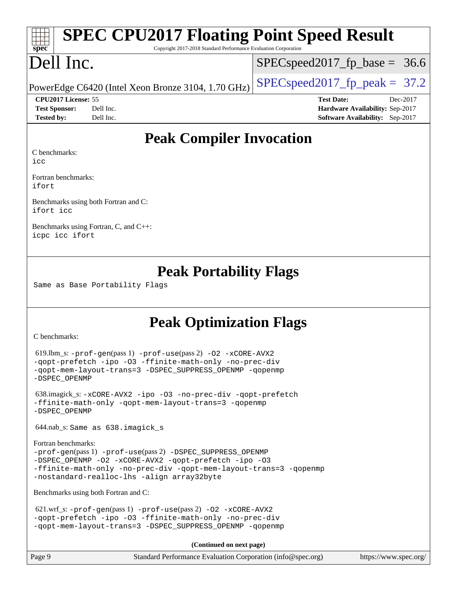|                      | <b>SPEC CPU2017 Floating Point Speed Result</b>                 |  |                                        |          |  |  |  |
|----------------------|-----------------------------------------------------------------|--|----------------------------------------|----------|--|--|--|
| spec                 | Copyright 2017-2018 Standard Performance Evaluation Corporation |  |                                        |          |  |  |  |
| Dell Inc.            |                                                                 |  | $SPEC speed2017_f p\_base = 36.6$      |          |  |  |  |
|                      | PowerEdge C6420 (Intel Xeon Bronze 3104, 1.70 GHz)              |  | $SPEC speed2017fp peak = 37.2$         |          |  |  |  |
| CPU2017 License: 55  |                                                                 |  | <b>Test Date:</b>                      | Dec-2017 |  |  |  |
| <b>Test Sponsor:</b> | Dell Inc.                                                       |  | <b>Hardware Availability: Sep-2017</b> |          |  |  |  |
| <b>Tested by:</b>    | Dell Inc.                                                       |  | Software Availability: Sep-2017        |          |  |  |  |
| C benchmarks:<br>icc | <b>Peak Compiler Invocation</b>                                 |  |                                        |          |  |  |  |

[Fortran benchmarks](http://www.spec.org/auto/cpu2017/Docs/result-fields.html#Fortranbenchmarks): [ifort](http://www.spec.org/cpu2017/results/res2018q1/cpu2017-20180122-02790.flags.html#user_FCpeak_intel_ifort_18.0_8111460550e3ca792625aed983ce982f94888b8b503583aa7ba2b8303487b4d8a21a13e7191a45c5fd58ff318f48f9492884d4413fa793fd88dd292cad7027ca)

[Benchmarks using both Fortran and C:](http://www.spec.org/auto/cpu2017/Docs/result-fields.html#BenchmarksusingbothFortranandC) [ifort](http://www.spec.org/cpu2017/results/res2018q1/cpu2017-20180122-02790.flags.html#user_CC_FCpeak_intel_ifort_18.0_8111460550e3ca792625aed983ce982f94888b8b503583aa7ba2b8303487b4d8a21a13e7191a45c5fd58ff318f48f9492884d4413fa793fd88dd292cad7027ca) [icc](http://www.spec.org/cpu2017/results/res2018q1/cpu2017-20180122-02790.flags.html#user_CC_FCpeak_intel_icc_18.0_66fc1ee009f7361af1fbd72ca7dcefbb700085f36577c54f309893dd4ec40d12360134090235512931783d35fd58c0460139e722d5067c5574d8eaf2b3e37e92)

[Benchmarks using Fortran, C, and C++:](http://www.spec.org/auto/cpu2017/Docs/result-fields.html#BenchmarksusingFortranCandCXX) [icpc](http://www.spec.org/cpu2017/results/res2018q1/cpu2017-20180122-02790.flags.html#user_CC_CXX_FCpeak_intel_icpc_18.0_c510b6838c7f56d33e37e94d029a35b4a7bccf4766a728ee175e80a419847e808290a9b78be685c44ab727ea267ec2f070ec5dc83b407c0218cded6866a35d07) [icc](http://www.spec.org/cpu2017/results/res2018q1/cpu2017-20180122-02790.flags.html#user_CC_CXX_FCpeak_intel_icc_18.0_66fc1ee009f7361af1fbd72ca7dcefbb700085f36577c54f309893dd4ec40d12360134090235512931783d35fd58c0460139e722d5067c5574d8eaf2b3e37e92) [ifort](http://www.spec.org/cpu2017/results/res2018q1/cpu2017-20180122-02790.flags.html#user_CC_CXX_FCpeak_intel_ifort_18.0_8111460550e3ca792625aed983ce982f94888b8b503583aa7ba2b8303487b4d8a21a13e7191a45c5fd58ff318f48f9492884d4413fa793fd88dd292cad7027ca)

### **[Peak Portability Flags](http://www.spec.org/auto/cpu2017/Docs/result-fields.html#PeakPortabilityFlags)**

Same as Base Portability Flags

# **[Peak Optimization Flags](http://www.spec.org/auto/cpu2017/Docs/result-fields.html#PeakOptimizationFlags)**

[C benchmarks](http://www.spec.org/auto/cpu2017/Docs/result-fields.html#Cbenchmarks):

```
 619.lbm_s: -prof-gen(pass 1) -prof-use(pass 2) -O2 -xCORE-AVX2
-qopt-prefetch -ipo -O3 -ffinite-math-only -no-prec-div
-qopt-mem-layout-trans=3 -DSPEC_SUPPRESS_OPENMP -qopenmp
-DSPEC_OPENMP
```

```
 638.imagick_s: -xCORE-AVX2 -ipo -O3 -no-prec-div -qopt-prefetch
-ffinite-math-only -qopt-mem-layout-trans=3 -qopenmp
-DSPEC_OPENMP
```
644.nab\_s: Same as 638.imagick\_s

```
Fortran benchmarks: 
-prof-gen(pass 1) -prof-use(pass 2) -DSPEC_SUPPRESS_OPENMP
-DSPEC_OPENMP -O2 -xCORE-AVX2 -qopt-prefetch -ipo -O3
-ffinite-math-only -no-prec-div -qopt-mem-layout-trans=3 -qopenmp
-nostandard-realloc-lhs -align array32byte
```
[Benchmarks using both Fortran and C](http://www.spec.org/auto/cpu2017/Docs/result-fields.html#BenchmarksusingbothFortranandC):

```
621.wrf_s: -prof-use-O2-xCORE-AVX2-qopt-prefetch -ipo -O3 -ffinite-math-only -no-prec-div
-qopt-mem-layout-trans=3 -DSPEC_SUPPRESS_OPENMP -qopenmp
```
**(Continued on next page)**